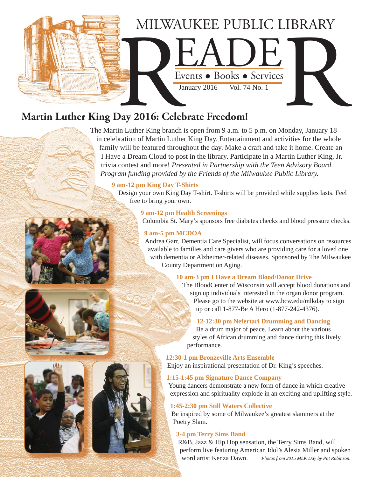

# **Martin Luther King Day 2016: Celebrate Freedom!**

The Martin Luther King branch is open from 9 a.m. to 5 p.m. on Monday, January 18 in celebration of Martin Luther King Day. Entertainment and activities for the whole family will be featured throughout the day. Make a craft and take it home. Create an I Have a Dream Cloud to post in the library. Participate in a Martin Luther King, Jr. trivia contest and more! *Presented in Partnership with the Teen Advisory Board. Program funding provided by the Friends of the Milwaukee Public Library.*

#### **9 am-12 pm King Day T-Shirts**

Design your own King Day T-shirt. T-shirts will be provided while supplies lasts. Feel free to bring your own.

#### **9 am-12 pm Health Screenings**

Columbia St. Mary's sponsors free diabetes checks and blood pressure checks.

#### **9 am-5 pm MCDOA**

Andrea Garr, Dementia Care Specialist, will focus conversations on resources available to families and care givers who are providing care for a loved one with dementia or Alzheimer-related diseases. Sponsored by The Milwaukee County Department on Aging.

#### **10 am-3 pm I Have a Dream Blood/Donor Drive**

The BloodCenter of Wisconsin will accept blood donations and sign up individuals interested in the organ donor program. Please go to the website at www.bcw.edu/mlkday to sign up or call 1-877-Be A Hero (1-877-242-4376).

#### **12-12:30 pm Nefertari Drumming and Dancing**

Be a drum major of peace. Learn about the various styles of African drumming and dance during this lively performance.

#### **12:30-1 pm Bronzeville Arts Ensemble**

Enjoy an inspirational presentation of Dr. King's speeches.

#### **1:15-1:45 pm Signature Dance Company**

Young dancers demonstrate a new form of dance in which creative expression and spirituality explode in an exciting and uplifting style.

#### **1:45-2:30 pm Still Waters Collective**

Be inspired by some of Milwaukee's greatest slammers at the Poetry Slam.

#### **3-4 pm Terry Sims Band**

R&B, Jazz & Hip Hop sensation, the Terry Sims Band, will perform live featuring American Idol's Alesia Miller and spoken word artist Kenza Dawn. *Photos from 2015 MLK Day by Pat Robinson.*







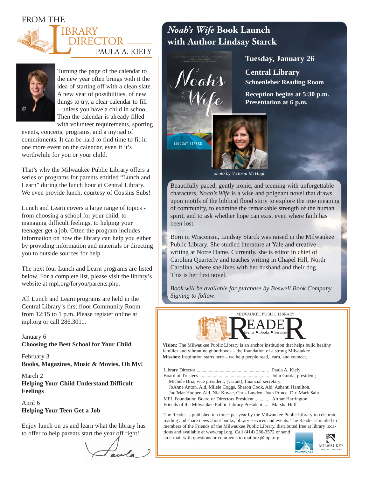FROM THE





Turning the page of the calendar to the new year often brings with it the idea of starting off with a clean slate. A new year of possibilities, of new things to try, a clear calendar to fill – unless you have a child in school. Then the calendar is already filled with volunteer requirements, sporting

events, concerts, programs, and a myriad of commitments. It can be hard to find time to fit in one more event on the calendar, even if it's worthwhile for you or your child.

That's why the Milwaukee Public Library offers a series of programs for parents entitled "Lunch and Learn" during the lunch hour at Central Library. We even provide lunch, courtesy of Cousins Subs!

Lunch and Learn covers a large range of topics from choosing a school for your child, to managing difficult feelings, to helping your teenager get a job. Often the program includes information on how the library can help you either by providing information and materials or directing you to outside sources for help.

The next four Lunch and Learn programs are listed below. For a complete list, please visit the library's website at mpl.org/foryou/parents.php.

All Lunch and Learn programs are held in the Central Library's first floor Community Room from 12:15 to 1 p.m. Please register online at mpl.org or call 286.3011.

January 6 **Choosing the Best School for Your Child**

February 3 **Books, Magazines, Music & Movies, Oh My!**

March 2 **Helping Your Child Understand Difficult Feelings**

April 6 **Helping Your Teen Get a Job**

Enjoy lunch on us and learn what the library has to offer to help parents start the year off right!

# *Noah's Wife* **Book Launch with Author Lindsay Starck**

Noahs



**Central Library Schoenleber Reading Room**

**Reception begins at 5:30 p.m. Presentation at 6 p.m.**



*photo by Victoria McHugh*

Beautifully paced, gently ironic, and teeming with unforgettable characters, *Noah's Wife* is a wise and poignant novel that draws upon motifs of the biblical flood story to explore the true meaning of community, to examine the remarkable strength of the human spirit, and to ask whether hope can exist even where faith has been lost.

Born in Wisconsin, Lindsay Starck was raised in the Milwaukee Public Library. She studied literature at Yale and creative writing at Notre Dame. Currently, she is editor in chief of Carolina Quarterly and teaches writing in Chapel Hill, North Carolina, where she lives with her husband and their dog. This is her first novel.

*Book will be available for purchase by Boswell Book Company. Signing to follow.*



**Vision:** The Milwaukee Public Library is an anchor institution that helps build healthy families and vibrant neighborhoods – the foundation of a strong Milwaukee. **Mission:** Inspiration starts here – we help people read, learn, and connect.

Library Director ............................................................ Paula A. Kiely Board of Trustees .......................................................... John Gurda, president;

 Michele Bria, vice president; (vacant), financial secretary; JoAnne Anton, Ald. Milele Coggs, Sharon Cook, Ald. Ashanti Hamilton, Joe'Mar Hooper, Ald. Nik Kovac, Chris Layden, Joan Prince, Dir. Mark Sain

MPL Foundation Board of Directors President ............ Arthur Harrington Friends of the Milwaukee Public Library President .... Marsha Huff

The Reader is published ten times per year by the Milwaukee Public Library to celebrate reading and share news about books, library services and events. The Reader is mailed to members of the Friends of the Milwaukee Public Library, distributed free at library locations and available at www.mpl.org. Call (414) 286-3572 or send

an e-mail with questions or comments to mailbox@mpl.org

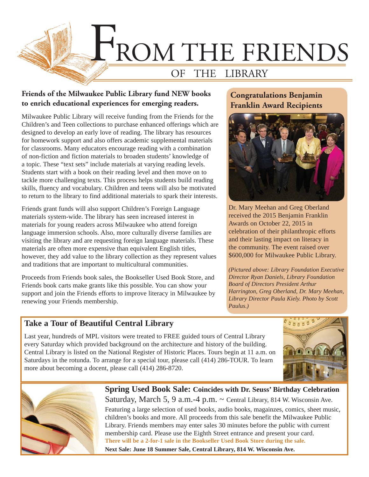

### **Friends of the Milwaukee Public Library fund NEW books to enrich educational experiences for emerging readers.**

Milwaukee Public Library will receive funding from the Friends for the Children's and Teen collections to purchase enhanced offerings which are designed to develop an early love of reading. The library has resources for homework support and also offers academic supplemental materials for classrooms. Many educators encourage reading with a combination of non-fiction and fiction materials to broaden students' knowledge of a topic. These "text sets" include materials at varying reading levels. Students start with a book on their reading level and then move on to tackle more challenging texts. This process helps students build reading skills, fluency and vocabulary. Children and teens will also be motivated to return to the library to find additional materials to spark their interests.

Friends grant funds will also support Children's Foreign Language materials system-wide. The library has seen increased interest in materials for young readers across Milwaukee who attend foreign language immersion schools. Also, more culturally diverse families are visiting the library and are requesting foreign language materials. These materials are often more expensive than equivalent English titles, however, they add value to the library collection as they represent values and traditions that are important to multicultural communities.

Proceeds from Friends book sales, the Bookseller Used Book Store, and Friends book carts make grants like this possible. You can show your support and join the Friends efforts to improve literacy in Milwaukee by renewing your Friends membership.

## **Congratulations Benjamin Franklin Award Recipients**



Dr. Mary Meehan and Greg Oberland received the 2015 Benjamin Franklin Awards on October 22, 2015 in celebration of their philanthropic efforts and their lasting impact on literacy in the community. The event raised over \$600,000 for Milwaukee Public Library.

*(Pictured above: Library Foundation Executive Director Ryan Daniels, Library Foundation Board of Directors President Arthur Harrington, Greg Oberland, Dr. Mary Meehan, Library Director Paula Kiely. Photo by Scott Paulus.)*

## **Take a Tour of Beautiful Central Library**

Last year, hundreds of MPL visitors were treated to FREE guided tours of Central Library every Saturday which provided background on the architecture and history of the building. Central Library is listed on the National Register of Historic Places. Tours begin at 11 a.m. on Saturdays in the rotunda. To arrange for a special tour, please call (414) 286-TOUR. To learn more about becoming a docent, please call (414) 286-8720.





**Spring Used Book Sale: Coincides with Dr. Seuss' Birthday Celebration** Saturday, March 5, 9 a.m.-4 p.m. ~ Central Library, 814 W. Wisconsin Ave. Featuring a large selection of used books, audio books, magainzes, comics, sheet music, children's books and more. All proceeds from this sale benefit the Milwaukee Public Library. Friends members may enter sales 30 minutes before the public with current membership card. Please use the Eighth Street entrance and present your card. **There will be a 2-for-1 sale in the Bookseller Used Book Store during the sale. Next Sale: June 18 Summer Sale, Central Library, 814 W. Wisconsin Ave.**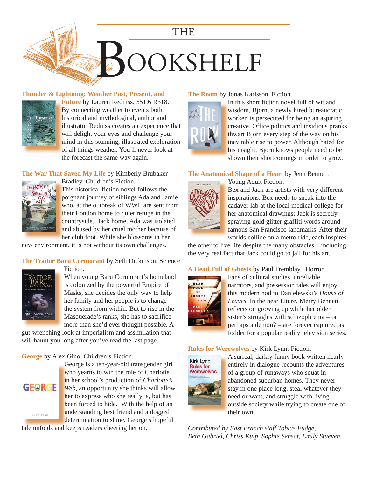

#### **[Thunder & Lightning: Weather Past, Present, and](https://encore.mcfls.org/iii/encore/record/C__Rb3858884)**



**Future** by Lauren Redniss. 551.6 R318. **F** By connecting weather to events both B historical and mythological, author and h illustrator Redniss creates an experience that i will delight your eyes and challenge your mind in this stunning, illustrated exploration m of all things weather. You'll never look at the forecast the same way again.

**The War That Saved My Life** by Kimberly Brubaker



Bradley. Children's Fiction. B This historical fiction novel follows the T poignant journey of siblings Ada and Jamie who, at the outbreak of WWI, are sent from their London home to quiet refuge in the countryside. Back home, Ada was isolated and abused by her cruel mother because of her club foot. While she blossoms in her h

[new environment, it is not without its own challenges.](https://encore.mcfls.org/iii/encore/record/C__Rb3792668)

#### **The Traitor Baru Cormorant** by Seth Dickinson. Science



When young Baru Cormorant's homeland is colonized by the powerful Empire of Masks, she decides the only way to help her family and her people is to change the system from within. But to rise in the Masquerade's ranks, she has to sacrifice more than she'd ever thought possible. A

[gut-wrenching look at imperialism and assimilation that](https://encore.mcfls.org/iii/encore/record/C__Rb3852472)  will haunt you long after you've read the last page.

#### **George** by Alex Gino. Children's Fiction.

Fiction.



George is a ten-year-old transgender girl G who yearns to win the role of Charlotte in her school's production of *Charlotte's*  in Web, an opportunity she thinks will allow her to express who she really is, but has been forced to hide. With the help of an understanding best friend and a dogged determination to shine, George's hopeful

tale unfolds and keeps readers cheering her on.

#### **The Room** by Jonas Karlsson. Fiction.



In this short fiction novel full of wit and I wisdom, Bjorn, a newly hired bureaucratic w worker, is persecuted for being an aspiring w [creative. Office politics and insidious pranks](https://encore.mcfls.org/iii/encore/record/C__Rb3796058)  c thwart Bjorn every step of the way on his t inevitable rise to power. Although hated for i his insight, Bjorn knows people need to be h shown their shortcomings in order to grow.

#### **The Anatomical Shape of a Heart** by Jenn Bennett. Young Adult Fiction.



Bex and Jack are artists with very different inspirations. Bex needs to sneak into the cadaver lab at the local medical college for her anatomical drawings; Jack is secretly spraying gold glitter graffiti words around famous San Francisco landmarks. After their worlds collide on a metro ride, each inspires

the other to live life despite the many obstacles – including [the very real fact that Jack could go to jail for his art.](https://encore.mcfls.org/iii/encore/record/C__Rb3866766)

**A Head Full of Ghosts** by Paul Tremblay. Horror.



Fans of cultural studies, unreliable F narrators, and possession tales will enjoy n this modern nod to Danielewski's *House of*  t *Leaves*. In the near future, Merry Bennett *L* reflects on growing up while her older sister's struggles with schizophrenia - or perhaps a demon? – are forever captured as p [fodder for a popular reality television series.](https://encore.mcfls.org/iii/encore/record/C__Rb3825981)  f

#### **Rules for Werewolves** by Kirk Lynn. Fiction.



A surreal, darkly funny book written nearly A entirely in dialogue recounts the adventures of a group of runaways who squat in abandoned suburban homes. They never a stay in one place long, steal whatever they need or want, and struggle with living n outside society while trying to create one of their own.

*Contributed by East Branch staff Tobias Fudge, Beth Gabriel, Chriss Kulp, Sophie Sensat, Emily Stueven.*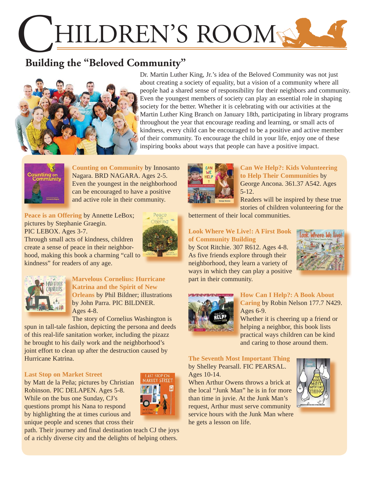# HILDREN'S ROOM

# **Building the "Beloved Community"**



Dr. Martin Luther King, Jr.'s idea of the Beloved Community was not just about creating a society of equality, but a vision of a community where all people had a shared sense of responsibility for their neighbors and community. Even the youngest members of society can play an essential role in shaping society for the better. Whether it is celebrating with our activities at the Martin Luther King Branch on January 18th, participating in library programs throughout the year that encourage reading and learning, or small acts of kindness, every child can be encouraged to be a positive and active member of their community. To encourage the child in your life, enjoy one of these inspiring books about ways that people can have a positive impact.



**Counting on Community** by Innosanto Nagara. BRD NAGARA. Ages 2-5. [Even the youngest in the neighborhood](https://encore.mcfls.org/iii/encore/record/C__Rb3851649)  can be encouraged to have a positive and active role in their community.

Peace is an Offering by Annette LeBox; pictures by Stephanie Graegin. PIC LEBOX. Ages 3-7.



Through small acts of kindness, children create a sense of peace in their neighbor[hood, making this book a charming "call to](https://encore.mcfls.org/iii/encore/record/C__Rb3846625)  kindness" for readers of any age.



**Marvelous Cornelius: Hurricane M Katrina and the Spirit of New K Orleans** by Phil Bildner; illustrations **O** by John Parra. PIC BILDNER. Ages 4-8. A

The story of Cornelius Washington is T

[spun in tall-tale fashion, depicting the persona and deeds](https://encore.mcfls.org/iii/encore/record/C__Rb3852507)  of this real-life sanitation worker, including the pizazz he brought to his daily work and the neighborhood's joint effort to clean up after the destruction caused by Hurricane Katrina.

#### **Last Stop on Market Street**

by Matt de la Peña; pictures by Christian Robinson. PIC DELAPEN. Ages 5-8. While on the bus one Sunday, CJ's questions prompt his Nana to respond by highlighting the at times curious and unique people and scenes that cross their



[path. Their journey and final destination teach CJ the joys](https://encore.mcfls.org/iii/encore/record/C__Rb3792694)  of a richly diverse city and the delights of helping others.



**Can We Help?: Kids Volunteering to Help Their Communities** by **t** George Ancona. 361.37 A542. Ages G 5-12. 5

Readers will be inspired by these true R stories of children volunteering for the

betterment of their local communities.

#### **Look Where We Live!: A First Book of Community Building**

by Scot Ritchie. 307 R612. Ages 4-8. As five friends explore through their neighborhood, they learn a variety of [ways in which they can play a positive](https://encore.mcfls.org/iii/encore/record/C__Rb3824377)  part in their community.





#### **How Can I Help?: A Book About**

Caring by Robin Nelson 177.7 N429. Ages 6-9. A

Whether it is cheering up a friend or helping a neighbor, this book lists h practical ways children can be kind pand caring to those around them.

**The Seventh Most Important Thing** by Shelley Pearsall. FIC PEARSAL. Ages 10-14.

When Arthur Owens throws a brick at the local "Junk Man" he is in for more than time in juvie. At the Junk Man's request, Arthur must serve community [service hours with the Junk Man where](https://encore.mcfls.org/iii/encore/record/C__Rb3849938)  he gets a lesson on life.